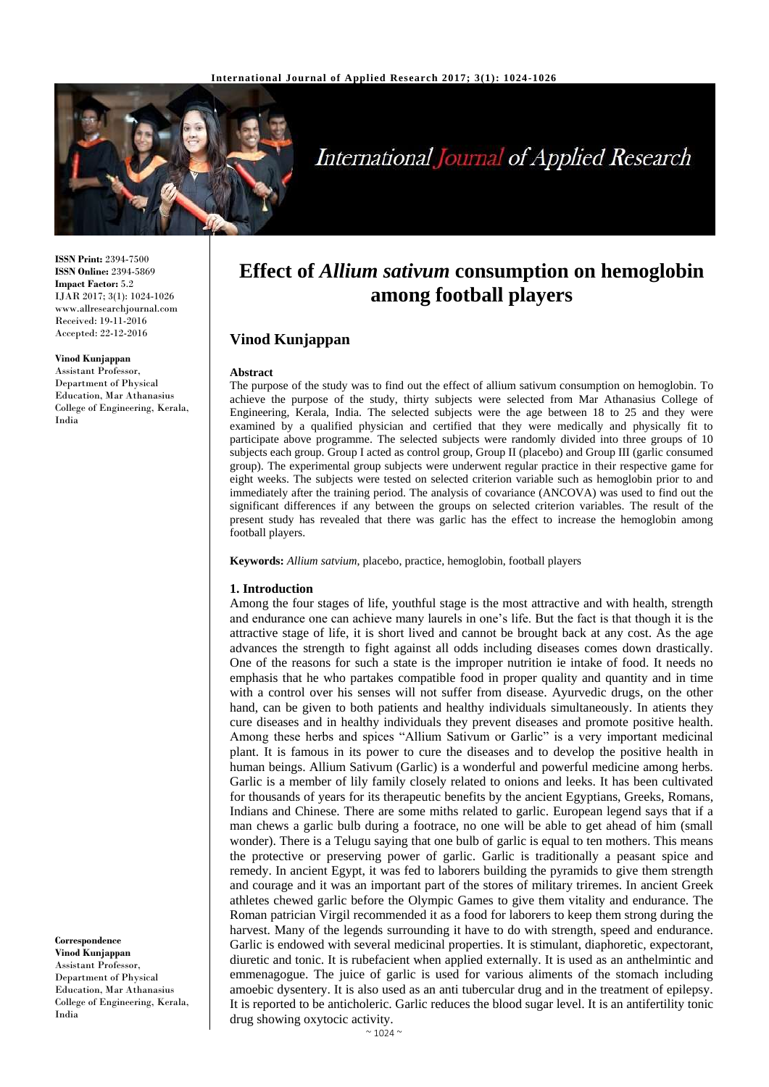

# **International Journal of Applied Research**

**ISSN Print:** 2394-7500 **ISSN Online:** 2394-5869 **Impact Factor:** 5.2 IJAR 2017; 3(1): 1024-1026 www.allresearchjournal.com Received: 19-11-2016 Accepted: 22-12-2016

#### **Vinod Kunjappan**

Assistant Professor, Department of Physical Education, Mar Athanasius College of Engineering, Kerala, India

**Correspondence Vinod Kunjappan** Assistant Professor, Department of Physical Education, Mar Athanasius College of Engineering, Kerala, India

## **Effect of** *Allium sativum* **consumption on hemoglobin among football players**

### **Vinod Kunjappan**

#### **Abstract**

The purpose of the study was to find out the effect of allium sativum consumption on hemoglobin. To achieve the purpose of the study, thirty subjects were selected from Mar Athanasius College of Engineering, Kerala, India. The selected subjects were the age between 18 to 25 and they were examined by a qualified physician and certified that they were medically and physically fit to participate above programme. The selected subjects were randomly divided into three groups of 10 subjects each group. Group I acted as control group, Group II (placebo) and Group III (garlic consumed group). The experimental group subjects were underwent regular practice in their respective game for eight weeks. The subjects were tested on selected criterion variable such as hemoglobin prior to and immediately after the training period. The analysis of covariance (ANCOVA) was used to find out the significant differences if any between the groups on selected criterion variables. The result of the present study has revealed that there was garlic has the effect to increase the hemoglobin among football players.

**Keywords:** *Allium satvium*, placebo, practice, hemoglobin, football players

#### **1. Introduction**

Among the four stages of life, youthful stage is the most attractive and with health, strength and endurance one can achieve many laurels in one's life. But the fact is that though it is the attractive stage of life, it is short lived and cannot be brought back at any cost. As the age advances the strength to fight against all odds including diseases comes down drastically. One of the reasons for such a state is the improper nutrition ie intake of food. It needs no emphasis that he who partakes compatible food in proper quality and quantity and in time with a control over his senses will not suffer from disease. Ayurvedic drugs, on the other hand, can be given to both patients and healthy individuals simultaneously. In atients they cure diseases and in healthy individuals they prevent diseases and promote positive health. Among these herbs and spices "Allium Sativum or Garlic" is a very important medicinal plant. It is famous in its power to cure the diseases and to develop the positive health in human beings. Allium Sativum (Garlic) is a wonderful and powerful medicine among herbs. Garlic is a member of lily family closely related to onions and leeks. It has been cultivated for thousands of years for its therapeutic benefits by the ancient Egyptians, Greeks, Romans, Indians and Chinese. There are some miths related to garlic. European legend says that if a man chews a garlic bulb during a footrace, no one will be able to get ahead of him (small wonder). There is a Telugu saying that one bulb of garlic is equal to ten mothers. This means the protective or preserving power of garlic. Garlic is traditionally a peasant spice and remedy. In ancient Egypt, it was fed to laborers building the pyramids to give them strength and courage and it was an important part of the stores of military triremes. In ancient Greek athletes chewed garlic before the Olympic Games to give them vitality and endurance. The Roman patrician Virgil recommended it as a food for laborers to keep them strong during the harvest. Many of the legends surrounding it have to do with strength, speed and endurance. Garlic is endowed with several medicinal properties. It is stimulant, diaphoretic, expectorant, diuretic and tonic. It is rubefacient when applied externally. It is used as an anthelmintic and emmenagogue. The juice of garlic is used for various aliments of the stomach including amoebic dysentery. It is also used as an anti tubercular drug and in the treatment of epilepsy. It is reported to be anticholeric. Garlic reduces the blood sugar level. It is an antifertility tonic drug showing oxytocic activity.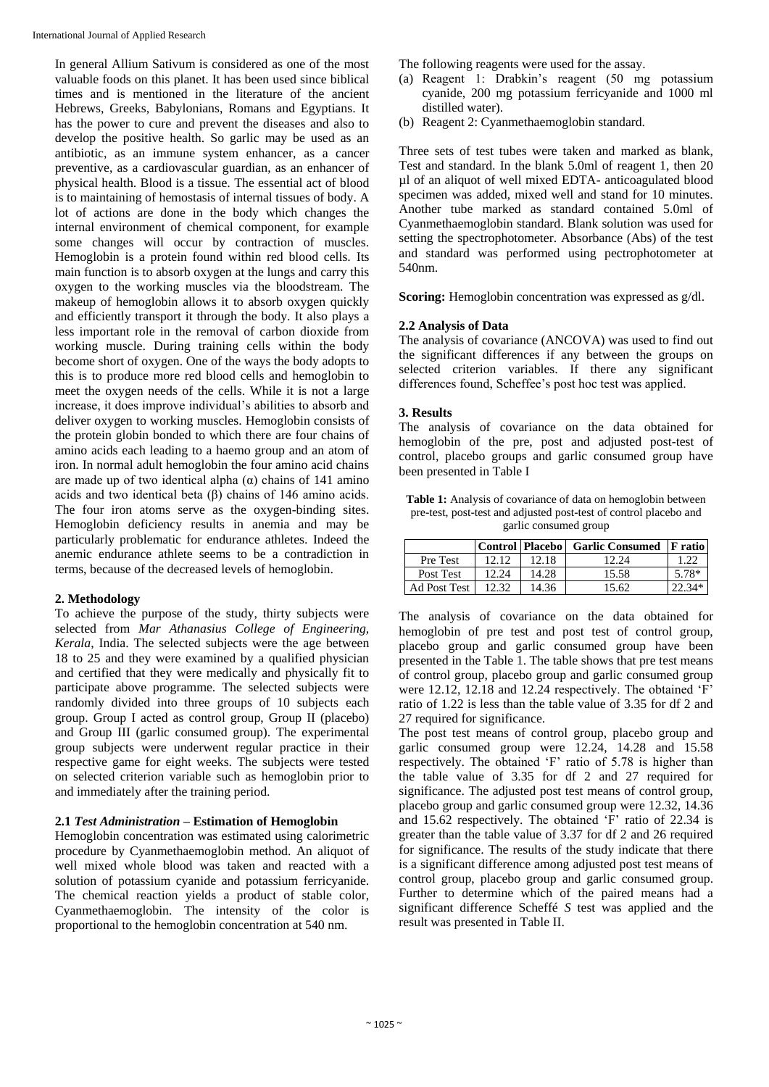In general Allium Sativum is considered as one of the most valuable foods on this planet. It has been used since biblical times and is mentioned in the literature of the ancient Hebrews, Greeks, Babylonians, Romans and Egyptians. It has the power to cure and prevent the diseases and also to develop the positive health. So garlic may be used as an antibiotic, as an immune system enhancer, as a cancer preventive, as a cardiovascular guardian, as an enhancer of physical health. Blood is a tissue. The essential act of blood is to maintaining of hemostasis of internal tissues of body. A lot of actions are done in the body which changes the internal environment of chemical component, for example some changes will occur by contraction of muscles. Hemoglobin is a protein found within red blood cells. Its main function is to absorb oxygen at the lungs and carry this oxygen to the working muscles via the bloodstream. The makeup of hemoglobin allows it to absorb oxygen quickly and efficiently transport it through the body. It also plays a less important role in the removal of carbon dioxide from working muscle. During training cells within the body become short of oxygen. One of the ways the body adopts to this is to produce more red blood cells and hemoglobin to meet the oxygen needs of the cells. While it is not a large increase, it does improve individual's abilities to absorb and deliver oxygen to working muscles. Hemoglobin consists of the protein globin bonded to which there are four chains of amino acids each leading to a haemo group and an atom of iron. In normal adult hemoglobin the four amino acid chains are made up of two identical alpha (α) chains of 141 amino acids and two identical beta (β) chains of 146 amino acids. The four iron atoms serve as the oxygen-binding sites. Hemoglobin deficiency results in anemia and may be particularly problematic for endurance athletes. Indeed the anemic endurance athlete seems to be a contradiction in terms, because of the decreased levels of hemoglobin.

## **2. Methodology**

To achieve the purpose of the study, thirty subjects were selected from *Mar Athanasius College of Engineering, Kerala*, India. The selected subjects were the age between 18 to 25 and they were examined by a qualified physician and certified that they were medically and physically fit to participate above programme. The selected subjects were randomly divided into three groups of 10 subjects each group. Group I acted as control group, Group II (placebo) and Group III (garlic consumed group). The experimental group subjects were underwent regular practice in their respective game for eight weeks. The subjects were tested on selected criterion variable such as hemoglobin prior to and immediately after the training period.

#### **2.1** *Test Administration –* **Estimation of Hemoglobin**

Hemoglobin concentration was estimated using calorimetric procedure by Cyanmethaemoglobin method. An aliquot of well mixed whole blood was taken and reacted with a solution of potassium cyanide and potassium ferricyanide. The chemical reaction yields a product of stable color, Cyanmethaemoglobin. The intensity of the color is proportional to the hemoglobin concentration at 540 nm.

The following reagents were used for the assay.

- (a) Reagent 1: Drabkin's reagent (50 mg potassium cyanide, 200 mg potassium ferricyanide and 1000 ml distilled water).
- (b) Reagent 2: Cyanmethaemoglobin standard.

Three sets of test tubes were taken and marked as blank, Test and standard. In the blank 5.0ml of reagent 1, then 20 µl of an aliquot of well mixed EDTA- anticoagulated blood specimen was added, mixed well and stand for 10 minutes. Another tube marked as standard contained 5.0ml of Cyanmethaemoglobin standard. Blank solution was used for setting the spectrophotometer. Absorbance (Abs) of the test and standard was performed using pectrophotometer at 540nm.

**Scoring:** Hemoglobin concentration was expressed as  $g/dl$ .

## **2.2 Analysis of Data**

The analysis of covariance (ANCOVA) was used to find out the significant differences if any between the groups on selected criterion variables. If there any significant differences found, Scheffee's post hoc test was applied.

#### **3. Results**

The analysis of covariance on the data obtained for hemoglobin of the pre, post and adjusted post-test of control, placebo groups and garlic consumed group have been presented in Table I

| <b>Table 1:</b> Analysis of covariance of data on hemoglobin between |
|----------------------------------------------------------------------|
| pre-test, post-test and adjusted post-test of control placebo and    |
| garlic consumed group                                                |

|                |       |       | Control   Placebo   Garlic Consumed   Fratio |         |
|----------------|-------|-------|----------------------------------------------|---------|
| Pre Test       | 12.12 | 12.18 | 12.24                                        | 1.22    |
| Post Test      | 12.24 | 14.28 | 15.58                                        | 5.78*   |
| Ad Post Test 1 | 12.32 | 14.36 | 15.62                                        | $9.34*$ |

The analysis of covariance on the data obtained for hemoglobin of pre test and post test of control group, placebo group and garlic consumed group have been presented in the Table 1. The table shows that pre test means of control group, placebo group and garlic consumed group were 12.12, 12.18 and 12.24 respectively. The obtained 'F' ratio of 1.22 is less than the table value of 3.35 for df 2 and 27 required for significance.

The post test means of control group, placebo group and garlic consumed group were 12.24, 14.28 and 15.58 respectively. The obtained 'F' ratio of 5.78 is higher than the table value of 3.35 for df 2 and 27 required for significance. The adjusted post test means of control group, placebo group and garlic consumed group were 12.32, 14.36 and 15.62 respectively. The obtained 'F' ratio of 22.34 is greater than the table value of 3.37 for df 2 and 26 required for significance. The results of the study indicate that there is a significant difference among adjusted post test means of control group, placebo group and garlic consumed group. Further to determine which of the paired means had a significant difference Scheffé *S* test was applied and the result was presented in Table II.